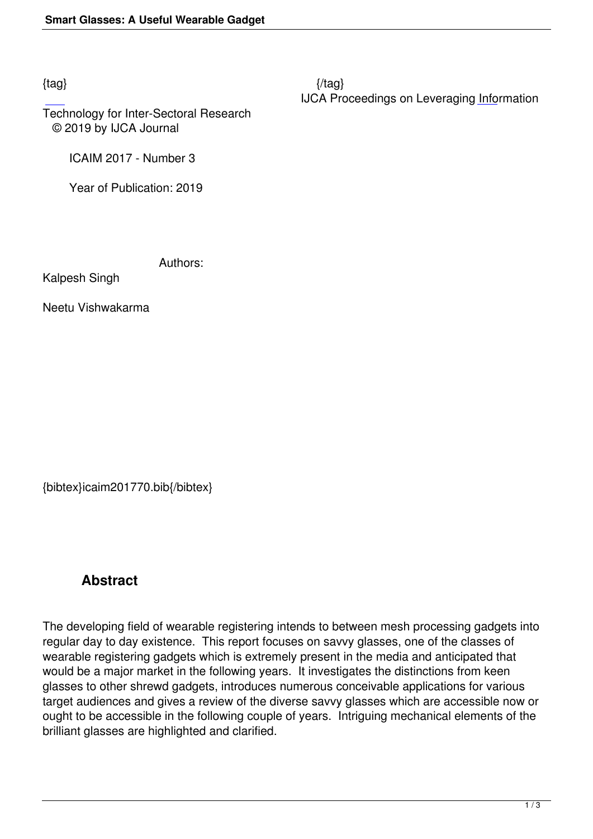Technology for Inter-Sectoral Research © 2019 by IJCA Journal

ICAIM 2017 - Number 3

Year of Publication: 2019

Authors:

Kalpesh Singh

Neetu Vishwakarma

{bibtex}icaim201770.bib{/bibtex}

## **Abstract**

The developing field of wearable registering intends to between mesh processing gadgets into regular day to day existence. This report focuses on savvy glasses, one of the classes of wearable registering gadgets which is extremely present in the media and anticipated that would be a major market in the following years. It investigates the distinctions from keen glasses to other shrewd gadgets, introduces numerous conceivable applications for various target audiences and gives a review of the diverse savvy glasses which are accessible now or ought to be accessible in the following couple of years. Intriguing mechanical elements of the brilliant glasses are highlighted and clarified.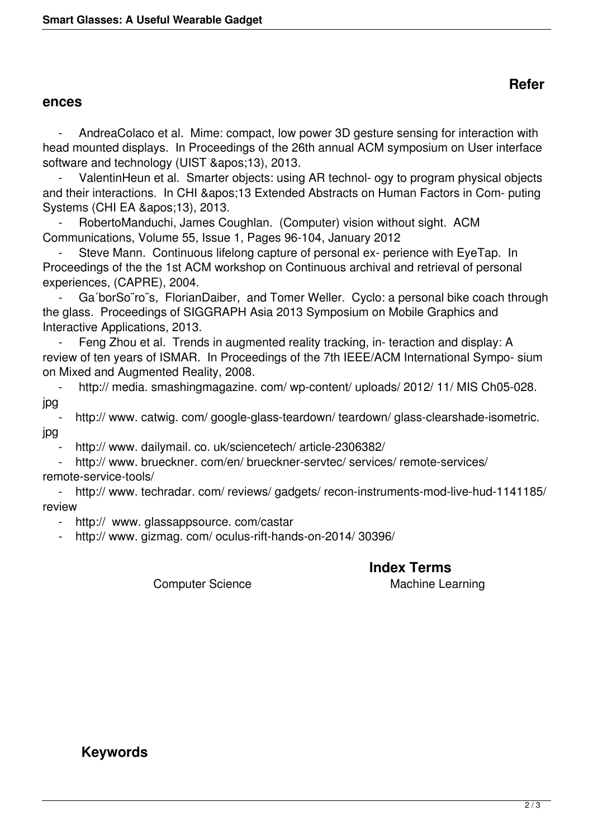## **ences**

 - AndreaColaco et al. Mime: compact, low power 3D gesture sensing for interaction with head mounted displays. In Proceedings of the 26th annual ACM symposium on User interface software and technology (UIST '13), 2013.

ValentinHeun et al. Smarter objects: using AR technol- ogy to program physical objects and their interactions. In CHI '13 Extended Abstracts on Human Factors in Com- puting Systems (CHI EA '13), 2013.

 - RobertoManduchi, James Coughlan. (Computer) vision without sight. ACM Communications, Volume 55, Issue 1, Pages 96-104, January 2012

Steve Mann. Continuous lifelong capture of personal ex- perience with EyeTap. In Proceedings of the the 1st ACM workshop on Continuous archival and retrieval of personal experiences, (CAPRE), 2004.

Ga'borSo"ro"s, FlorianDaiber, and Tomer Weller. Cyclo: a personal bike coach through the glass. Proceedings of SIGGRAPH Asia 2013 Symposium on Mobile Graphics and Interactive Applications, 2013.

Feng Zhou et al. Trends in augmented reality tracking, in-teraction and display: A review of ten years of ISMAR. In Proceedings of the 7th IEEE/ACM International Sympo- sium on Mixed and Augmented Reality, 2008.

http:// media. smashingmagazine. com/ wp-content/ uploads/ 2012/ 11/ MIS Ch05-028. jpg

 - http:// www. catwig. com/ google-glass-teardown/ teardown/ glass-clearshade-isometric. jpg

http:// www. dailymail. co. uk/sciencetech/ article-2306382/

 - http:// www. brueckner. com/en/ brueckner-servtec/ services/ remote-services/ remote-service-tools/

http:// www. techradar. com/ reviews/ gadgets/ recon-instruments-mod-live-hud-1141185/ review

- http:// www. glassappsource. com/castar

http:// www. gizmag. com/ oculus-rift-hands-on-2014/ 30396/

**Index Terms** 

Computer Science **Machine Learning** 

**Refer**

## **Keywords**